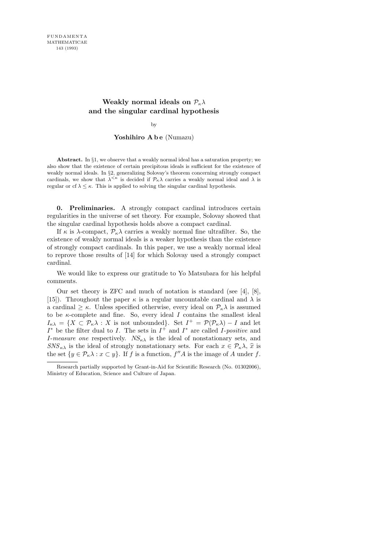# **Weakly normal ideals on**  $P_k \lambda$ **and the singular cardinal hypothesis**

by

## Yoshihiro A b e (Numazu)

**Abstract.** In *§*1, we observe that a weakly normal ideal has a saturation property; we also show that the existence of certain precipitous ideals is sufficient for the existence of weakly normal ideals. In *§*2, generalizing Solovay's theorem concerning strongly compact cardinals, we show that  $\lambda^{<\kappa}$  is decided if  $\mathcal{P}_{\kappa}\lambda$  carries a weakly normal ideal and  $\lambda$  is regular or cf  $\lambda \leq \kappa$ . This is applied to solving the singular cardinal hypothesis.

0. Preliminaries. A strongly compact cardinal introduces certain regularities in the universe of set theory. For example, Solovay showed that the singular cardinal hypothesis holds above a compact cardinal.

If  $\kappa$  is  $\lambda$ -compact,  $\mathcal{P}_{\kappa}\lambda$  carries a weakly normal fine ultrafilter. So, the existence of weakly normal ideals is a weaker hypothesis than the existence of strongly compact cardinals. In this paper, we use a weakly normal ideal to reprove those results of [14] for which Solovay used a strongly compact cardinal.

We would like to express our gratitude to Yo Matsubara for his helpful comments.

Our set theory is ZFC and much of notation is standard (see [4], [8], [15]). Throughout the paper  $\kappa$  is a regular uncountable cardinal and  $\lambda$  is a cardinal  $\geq \kappa$ . Unless specified otherwise, every ideal on  $\mathcal{P}_{\kappa}\lambda$  is assumed to be  $\kappa$ -complete and fine. So, every ideal I contains the smallest ideal  $I_{\kappa\lambda} = \{X \subset \mathcal{P}_{\kappa}\lambda : X \text{ is not unbounded}\}\.$  Set  $I^+ = \mathcal{P}(\mathcal{P}_{\kappa}\lambda) - I$  and let  $I^*$  be the filter dual to I. The sets in  $I^+$  and  $I^*$  are called I-positive and I-measure one respectively.  $NS_{\kappa\lambda}$  is the ideal of nonstationary sets, and  $SNS_{\kappa\lambda}$  is the ideal of strongly nonstationary sets. For each  $x \in \mathcal{P}_{\kappa}\lambda$ ,  $\hat{x}$  is the set  $\{y \in \mathcal{P}_{\kappa}\lambda : x \subset y\}$ . If f is a function,  $f''A$  is the image of A under f.

Research partially supported by Grant-in-Aid for Scientific Research (No. 01302006), Ministry of Education, Science and Culture of Japan.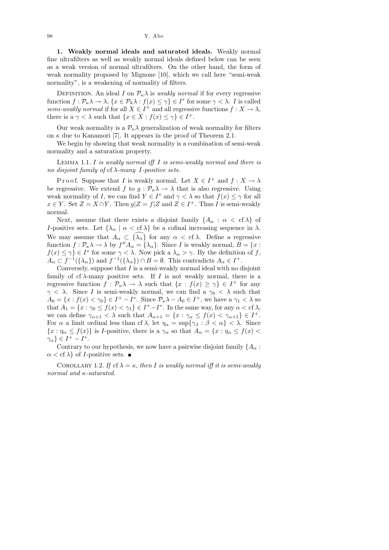1. Weakly normal ideals and saturated ideals. Weakly normal fine ultrafilters as well as weakly normal ideals defined below can be seen as a weak version of normal ultrafilters. On the other hand, the form of weak normality proposed by Mignone [10], which we call here "semi-weak normality", is a weakening of normality of filters.

DEFINITION. An ideal I on  $P_{\kappa}\lambda$  is weakly normal if for every regressive function  $f: \mathcal{P}_\kappa \lambda \to \lambda$ ,  $\{x \in \mathcal{P}_k \lambda : f(x) \leq \gamma\} \in I^*$  for some  $\gamma < \lambda$ . I is called semi-weakly normal if for all  $X \in I^+$  and all regressive functions  $f : X \to \lambda$ , there is a  $\gamma < \lambda$  such that  $\{x \in X : f(x) \leq \gamma\} \in I^+$ .

Our weak normality is a  $\mathcal{P}_{\kappa}\lambda$  generalization of weak normality for filters on  $\kappa$  due to Kanamori [7]. It appears in the proof of Theorem 2.1.

We begin by showing that weak normality is a combination of semi-weak normality and a saturation property.

LEMMA 1.1. I is weakly normal iff  $I$  is semi-weakly normal and there is no disjoint family of cf  $\lambda$ -many I-positive sets.

P r o o f. Suppose that I is weakly normal. Let  $X \in I^+$  and  $f: X \to \lambda$ be regressive. We extend f to  $g : \mathcal{P}_{\kappa} \lambda \to \lambda$  that is also regressive. Using weak normality of I, we can find  $Y \in I^*$  and  $\gamma < \lambda$  so that  $f(x) \leq \gamma$  for all  $x \in Y$ . Set  $Z = X \cap Y$ . Then  $g|Z = f|Z$  and  $Z \in I^+$ . Thus I is semi-weakly normal.

Next, assume that there exists a disjoint family  $\{A_{\alpha} : \alpha < \text{cf } \lambda \}$  of I-positive sets. Let  $\{\lambda_{\alpha} \mid \alpha < \text{cf } \lambda\}$  be a cofinal increasing sequence in  $\lambda$ . We may assume that  $A_{\alpha} \subset {\{\lambda_{\alpha}\}}$  for any  $\alpha < \text{cf } \lambda$ . Define a regressive function  $f: \mathcal{P}_{\kappa} \lambda \to \lambda$  by  $f'' A_{\alpha} = {\lambda_{\alpha}}$ . Since I is weakly normal,  $B = \{x :$  $f(x) \leq \gamma$   $\in I^*$  for some  $\gamma < \lambda$ . Now pick a  $\lambda_{\alpha} > \gamma$ . By the definition of f,  $A_{\alpha} \subset f^{-1}(\{\lambda_{\alpha}\})$  and  $f^{-1}(\{\lambda_{\alpha}\}) \cap B = \emptyset$ . This contradicts  $A_{\alpha} \in I^{+}$ .

Conversely, suppose that  $I$  is a semi-weakly normal ideal with no disjoint family of cf  $\lambda$ -many positive sets. If I is not weakly normal, there is a regressive function  $f : \mathcal{P}_{\kappa} \lambda \to \lambda$  such that  $\{x : f(x) \geq \gamma\} \in I^+$  for any  $\gamma < \lambda$ . Since I is semi-weakly normal, we can find a  $\gamma_0 < \lambda$  such that  $A_0 = \{x : f(x) < \gamma_0\} \in I^+ - I^*$ . Since  $\mathcal{P}_{\kappa} \lambda - A_0 \in I^+$ , we have a  $\gamma_1 < \lambda$  so that  $A_1 = \{x : \gamma_0 \le f(x) < \gamma_1\} \in I^+ - I^*$ . In the same way, for any  $\alpha < \text{cf } \lambda$ , we can define  $\gamma_{\alpha+1} < \lambda$  such that  $A_{\alpha+1} = \{x : \gamma_{\alpha} \leq f(x) < \gamma_{\alpha+1}\} \in I^+$ . For  $\alpha$  a limit ordinal less than cf  $\lambda$ , let  $\eta_{\alpha} = \sup{\{\gamma_{\beta} : \beta < \alpha\}} < \lambda$ . Since  ${x : \eta_{\alpha} \le f(x)}$  is *I*-positive, there is a  $\gamma_{\alpha}$  so that  $A_{\alpha} = {x : \eta_{\alpha} \le f(x)$  $\gamma_{\alpha}\}\in I^{+}-I^{*}.$ 

Contrary to our hypothesis, we now have a pairwise disjoint family  $\{A_{\alpha}$ :  $\alpha < \text{cf } \lambda$  of *I*-positive sets.

COROLLARY 1.2. If cf  $\lambda = \kappa$ , then I is weakly normal iff it is semi-weakly normal and κ-saturated.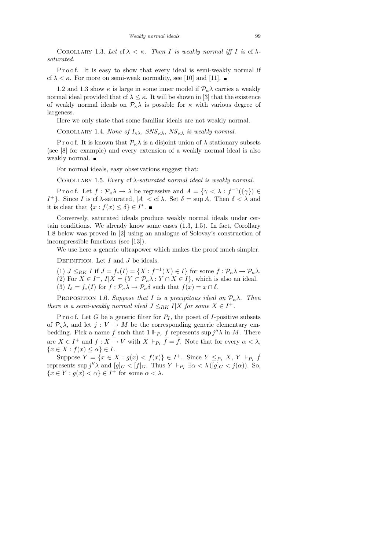COROLLARY 1.3. Let cf  $\lambda < \kappa$ . Then I is weakly normal iff I is cf  $\lambda$ saturated.

Proof. It is easy to show that every ideal is semi-weakly normal if cf  $\lambda < \kappa$ . For more on semi-weak normality, see [10] and [11].

1.2 and 1.3 show  $\kappa$  is large in some inner model if  $\mathcal{P}_{\kappa}\lambda$  carries a weakly normal ideal provided that cf  $\lambda \leq \kappa$ . It will be shown in [3] that the existence of weakly normal ideals on  $\mathcal{P}_{\kappa}\lambda$  is possible for  $\kappa$  with various degree of largeness.

Here we only state that some familiar ideals are not weakly normal.

COROLLARY 1.4. None of  $I_{\kappa\lambda}$ ,  $SNS_{\kappa\lambda}$ ,  $NS_{\kappa\lambda}$  is weakly normal.

P r o o f. It is known that  $P_{\kappa} \lambda$  is a disjoint union of  $\lambda$  stationary subsets (see [8] for example) and every extension of a weakly normal ideal is also weakly normal.

For normal ideals, easy observations suggest that:

COROLLARY 1.5. Every cf  $\lambda$ -saturated normal ideal is weakly normal.

Proof. Let  $f: \mathcal{P}_{\kappa} \lambda \to \lambda$  be regressive and  $A = \{ \gamma < \lambda : f^{-1}(\{\gamma\}) \in$ I<sup>+</sup>}. Since *I* is cf λ-saturated,  $|A| <$  cf λ. Set  $\delta = \sup A$ . Then  $\delta < \lambda$  and it is clear that  $\{x : f(x) \leq \delta\} \in I^*$ .

Conversely, saturated ideals produce weakly normal ideals under certain conditions. We already know some cases (1.3, 1.5). In fact, Corollary 1.8 below was proved in [2] using an analogue of Solovay's construction of incompressible functions (see [13]).

We use here a generic ultrapower which makes the proof much simpler.

DEFINITION. Let  $I$  and  $J$  be ideals.

- (1)  $J \leq_{RK} I$  if  $J = f_*(I) = \{X : f^{-1}(X) \in I\}$  for some  $f : \mathcal{P}_\kappa \lambda \to \mathcal{P}_\kappa \lambda$ . (2) For  $X \in I^+$ ,  $I|X = \{ Y \subset \mathcal{P}_{\kappa} \lambda : Y \cap X \in I \}$ , which is also an ideal.
- (3)  $I_{\delta} = f_*(I)$  for  $f : \mathcal{P}_{\kappa} \lambda \to \mathcal{P}_{\kappa} \delta$  such that  $f(x) = x \cap \delta$ .

PROPOSITION 1.6. Suppose that I is a precipitous ideal on  $P_{\kappa}\lambda$ . Then there is a semi-weakly normal ideal  $J \leq_{RK} I | X$  for some  $X \in I^+$ .

P r o o f. Let G be a generic filter for  $P_I$ , the poset of I-positive subsets of  $\mathcal{P}_{\kappa}\lambda$ , and let  $j: V \to M$  be the corresponding generic elementary embedding. Pick a name  $\underline{f}$  such that  $1 \Vdash_{P_I} \underline{f}$  represents sup  $j''\lambda$  in M. There are  $X \in I^+$  and  $f: X \to V$  with  $X \Vdash_{P_I} \overline{f} = \check{f}$ . Note that for every  $\alpha < \lambda$ ,  ${x \in X : f(x) \leq \alpha} \in I$ .

Suppose  $Y = \{x \in X : g(x) < f(x)\} \in I^+$ . Since  $Y \leq_{P_I} X, Y \Vdash_{P_I} \check{f}$ represents  $\sup j''\lambda$  and  $[g]_G < [f]_G$ . Thus  $Y \Vdash_{P_I} \exists \alpha < \lambda ([g]_G < j(\alpha))$ . So,  ${x \in Y : g(x) < \alpha} \in I^+$  for some  $\alpha < \lambda$ .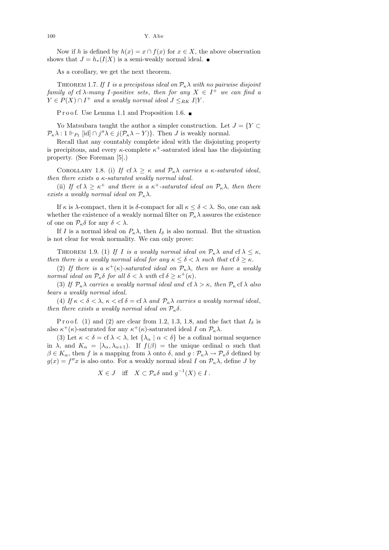Now if h is defined by  $h(x) = x \cap f(x)$  for  $x \in X$ , the above observation shows that  $J = h_*(I|X)$  is a semi-weakly normal ideal.  $\blacksquare$ 

As a corollary, we get the next theorem.

THEOREM 1.7. If I is a precipitous ideal on  $\mathcal{P}_{\kappa}\lambda$  with no pairwise disjoint family of cf  $\lambda$ -many I-positive sets, then for any  $X \in I^+$  we can find a  $Y \in P(X) \cap I^+$  and a weakly normal ideal  $J \leq_{RK} I|Y$ .

P r o o f. Use Lemma 1.1 and Proposition 1.6. ■

Yo Matsubara taught the author a simpler construction. Let  $J = \{Y \subset$  $\mathcal{P}_{\kappa}\lambda:1\Vdash_{P_I} [\mathrm{id}]\cap j''\lambda\in j(\mathcal{P}_{\kappa}\lambda-Y)\}.$  Then J is weakly normal.

Recall that any countably complete ideal with the disjointing property is precipitous, and every  $\kappa$ -complete  $\kappa^+$ -saturated ideal has the disjointing property. (See Foreman [5].)

COROLLARY 1.8. (i) If cf  $\lambda \geq \kappa$  and  $\mathcal{P}_{\kappa}\lambda$  carries a  $\kappa$ -saturated ideal, then there exists a  $\kappa$ -saturated weakly normal ideal.

(ii) If cf  $\lambda \geq \kappa^+$  and there is a  $\kappa^+$ -saturated ideal on  $\mathcal{P}_\kappa \lambda$ , then there exists a weakly normal ideal on  $\mathcal{P}_{\kappa}\lambda$ .

If  $\kappa$  is  $\lambda$ -compact, then it is  $\delta$ -compact for all  $\kappa \leq \delta < \lambda$ . So, one can ask whether the existence of a weakly normal filter on  $\mathcal{P}_{\kappa}\lambda$  assures the existence of one on  $\mathcal{P}_{\kappa}\delta$  for any  $\delta < \lambda$ .

If I is a normal ideal on  $P_{\kappa}\lambda$ , then  $I_{\delta}$  is also normal. But the situation is not clear for weak normality. We can only prove:

THEOREM 1.9. (1) If I is a weakly normal ideal on  $\mathcal{P}_{\kappa}\lambda$  and  $\mathrm{cf}\lambda \leq \kappa$ , then there is a weakly normal ideal for any  $\kappa \leq \delta < \lambda$  such that cf  $\delta \geq \kappa$ .

(2) If there is a  $\kappa^+(\kappa)$ -saturated ideal on  $\mathcal{P}_\kappa \lambda$ , then we have a weakly normal ideal on  $\mathcal{P}_{\kappa} \delta$  for all  $\delta < \lambda$  with  $\mathrm{cf } \delta \geq \kappa^+(\kappa)$ .

(3) If  $\mathcal{P}_{\kappa} \lambda$  carries a weakly normal ideal and cf  $\lambda > \kappa$ , then  $\mathcal{P}_{\kappa}$  cf  $\lambda$  also bears a weakly normal ideal.

(4) If  $\kappa < \delta < \lambda$ ,  $\kappa <$  cf  $\delta =$  cf  $\lambda$  and  $\mathcal{P}_{\kappa}\lambda$  carries a weakly normal ideal, then there exists a weakly normal ideal on  $\mathcal{P}_{\kappa}\delta$ .

P r o o f. (1) and (2) are clear from 1.2, 1.3, 1.8, and the fact that  $I_{\delta}$  is also  $\kappa^+(\kappa)$ -saturated for any  $\kappa^+(\kappa)$ -saturated ideal I on  $\mathcal{P}_\kappa\lambda$ .

(3) Let  $\kappa < \delta = \text{cf } \lambda < \lambda$ , let  $\{\lambda_{\alpha} \mid \alpha < \delta\}$  be a cofinal normal sequence in  $\lambda$ , and  $K_{\alpha} = [\lambda_{\alpha}, \lambda_{\alpha+1})$ . If  $f(\beta) =$  the unique ordinal  $\alpha$  such that  $\beta \in K_\alpha$ , then f is a mapping from  $\lambda$  onto  $\delta$ , and  $g: \mathcal{P}_\kappa \lambda \to \mathcal{P}_\kappa \delta$  defined by  $g(x) = f''x$  is also onto. For a weakly normal ideal I on  $\mathcal{P}_{\kappa}\lambda$ , define J by

$$
X \in J \quad \text{iff} \quad X \subset \mathcal{P}_{\kappa} \delta \text{ and } g^{-1}(X) \in I \, .
$$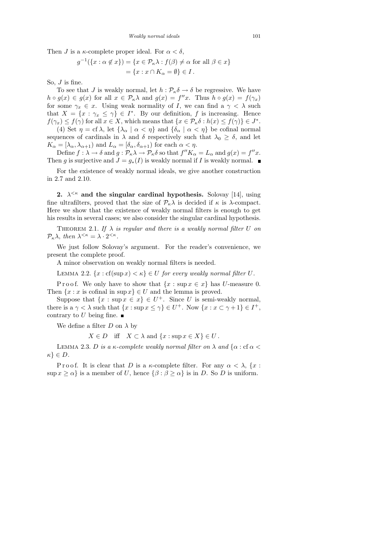Then J is a  $\kappa$ -complete proper ideal. For  $\alpha < \delta$ ,

$$
g^{-1}(\lbrace x : \alpha \notin x \rbrace) = \lbrace x \in \mathcal{P}_{\kappa} \lambda : f(\beta) \neq \alpha \text{ for all } \beta \in x \rbrace
$$
  
= 
$$
\lbrace x : x \cap K_{\alpha} = \emptyset \rbrace \in I.
$$

So,  $J$  is fine.

To see that J is weakly normal, let  $h : \mathcal{P}_{\kappa} \delta \to \delta$  be regressive. We have  $h \circ g(x) \in g(x)$  for all  $x \in \mathcal{P}_{\kappa} \lambda$  and  $g(x) = f''x$ . Thus  $h \circ g(x) = f(\gamma_x)$ for some  $\gamma_x \in x$ . Using weak normality of I, we can find a  $\gamma < \lambda$  such that  $X = \{x : \gamma_x \leq \gamma\} \in I^*$ . By our definition, f is increasing. Hence  $f(\gamma_x) \leq f(\gamma)$  for all  $x \in X$ , which means that  $\{x \in \mathcal{P}_{\kappa} \delta : h(x) \leq f(\gamma)\} \in J^*$ . (4) Set  $\eta = \text{cf } \lambda$ , let  $\{\lambda_\alpha \mid \alpha < \eta\}$  and  $\{\delta_\alpha \mid \alpha < \eta\}$  be cofinal normal

sequences of cardinals in  $\lambda$  and  $\delta$  respectively such that  $\lambda_0 \geq \delta$ , and let  $K_{\alpha}=[\lambda_{\alpha},\lambda_{\alpha+1})$  and  $L_{\alpha}=[\delta_{\alpha},\delta_{\alpha+1})$  for each  $\alpha<\eta.$ 

Define  $f: \lambda \to \delta$  and  $g: \mathcal{P}_{\kappa} \lambda \to \mathcal{P}_{\kappa} \delta$  so that  $f''K_{\alpha} = L_{\alpha}$  and  $g(x) = f''x$ . Then g is surjective and  $J = g_*(I)$  is weakly normal if I is weakly normal.

For the existence of weakly normal ideals, we give another construction in 2.7 and 2.10.

2.  $\lambda^{<\kappa}$  and the singular cardinal hypothesis. Solovay [14], using fine ultrafilters, proved that the size of  $\mathcal{P}_{\kappa}\lambda$  is decided if  $\kappa$  is  $\lambda$ -compact. Here we show that the existence of weakly normal filters is enough to get his results in several cases; we also consider the singular cardinal hypothesis.

THEOREM 2.1. If  $\lambda$  is regular and there is a weakly normal filter U on  $\mathcal{P}_{\kappa}\lambda$ , then  $\lambda^{\leq \kappa} = \lambda \cdot 2^{\leq \kappa}$ .

We just follow Solovay's argument. For the reader's convenience, we present the complete proof.

A minor observation on weakly normal filters is needed.

LEMMA 2.2.  $\{x : cf(\sup x) < \kappa\} \in U$  for every weakly normal filter U.

P r o o f. We only have to show that  $\{x : \sup x \in x\}$  has U-measure 0. Then  $\{x : x \text{ is cofinal in } \sup x\} \in U$  and the lemma is proved.

Suppose that  $\{x : \sup x \in x\} \in U^+$ . Since U is semi-weakly normal, there is a  $\gamma < \lambda$  such that  $\{x : \sup x \leq \gamma\} \in U^+$ . Now  $\{x : x \subset \gamma + 1\} \in I^+$ , contrary to U being fine.  $\blacksquare$ 

We define a filter  $D$  on  $\lambda$  by

 $X \in D$  iff  $X \subset \lambda$  and  $\{x : \sup x \in X\} \in U$ .

LEMMA 2.3. D is a  $\kappa$ -complete weakly normal filter on  $\lambda$  and  $\{\alpha : \text{cf } \alpha$  $\kappa$ }  $\in$  D.

P r o o f. It is clear that D is a  $\kappa$ -complete filter. For any  $\alpha < \lambda$ ,  $\{x :$  $\sup x \ge \alpha$  is a member of U, hence  $\{\beta : \beta \ge \alpha\}$  is in D. So D is uniform.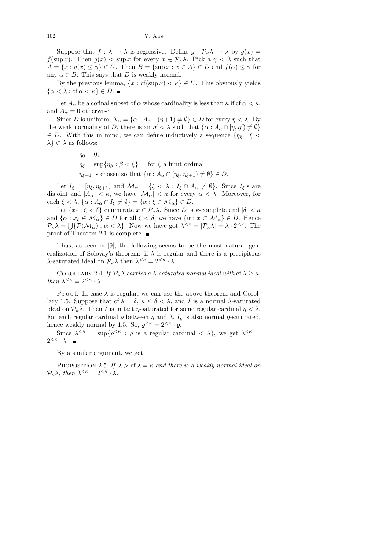Suppose that  $f : \lambda \to \lambda$  is regressive. Define  $g : \mathcal{P}_{\kappa} \lambda \to \lambda$  by  $g(x) =$ f(sup x). Then  $g(x) < \sup x$  for every  $x \in \mathcal{P}_{\kappa} \lambda$ . Pick a  $\gamma < \lambda$  such that  $A = \{x : g(x) \leq \gamma\} \in U$ . Then  $B = \{\sup x : x \in A\} \in D$  and  $f(\alpha) \leq \gamma$  for any  $\alpha \in B$ . This says that D is weakly normal.

By the previous lemma,  $\{x : cf(\sup x) < \kappa\} \in U$ . This obviously yields  $\{\alpha < \lambda : \text{cf } \alpha < \kappa\} \in D$ .

Let  $A_{\alpha}$  be a cofinal subset of  $\alpha$  whose cardinality is less than  $\kappa$  if cf  $\alpha < \kappa$ , and  $A_{\alpha} = 0$  otherwise.

Since D is uniform,  $X_{\eta} = {\alpha : A_{\alpha} - (\eta + 1) \neq \emptyset} \in D$  for every  $\eta < \lambda$ . By the weak normality of D, there is an  $\eta' < \lambda$  such that  $\{\alpha : A_{\alpha} \cap [\eta, \eta') \neq \emptyset\}$  $\in$  D. With this in mind, we can define inductively a sequence  $\{\eta_{\xi} \mid \xi$  $\lambda$  ⊂  $\lambda$  as follows:

$$
\eta_0 = 0,
$$
  
\n
$$
\eta_{\xi} = \sup \{ \eta_{\beta} : \beta < \xi \} \quad \text{for } \xi \text{ a limit ordinal,}
$$
  
\n
$$
\eta_{\xi+1} \text{ is chosen so that } \{ \alpha : A_{\alpha} \cap [\eta_{\xi}, \eta_{\xi+1}) \neq \emptyset \} \in L
$$

Let  $I_{\xi} = [\eta_{\xi}, \eta_{\xi+1})$  and  $\mathcal{M}_{\alpha} = {\xi < \lambda : I_{\xi} \cap A_{\alpha} \neq \emptyset}.$  Since  $I_{\xi}$ 's are disjoint and  $|A_{\alpha}| < \kappa$ , we have  $|\mathcal{M}_{\alpha}| < \kappa$  for every  $\alpha < \lambda$ . Moreover, for each  $\xi < \lambda$ ,  $\{\alpha : A_{\alpha} \cap I_{\xi} \neq \emptyset\} = \{\alpha : \xi \in \mathcal{M}_{\alpha}\}\in D$ .

Let  $\{x_{\zeta} : \zeta < \delta\}$  enumerate  $x \in \mathcal{P}_{\kappa}\lambda$ . Since D is  $\kappa$ -complete and  $|\delta| < \kappa$ and  $\{\alpha : x_{\zeta} \in \mathcal{M}_{\alpha}\}\in D$  for all  $\zeta < \delta$ , we have  $\{\alpha : x \subset \mathcal{M}_{\alpha}\}\in D$ . Hence  $\mathcal{P}_{\kappa}\lambda = \bigcup \{\mathcal{P}(\mathcal{M}_{\alpha}) : \alpha < \lambda\}.$  Now we have got  $\lambda^{\leq \kappa} = |\mathcal{P}_{\kappa}\lambda| = \lambda \cdot 2^{\leq \kappa}.$  The proof of Theorem 2.1 is complete.

Thus, as seen in [9], the following seems to be the most natural generalization of Solovay's theorem: if  $\lambda$  is regular and there is a precipitous  $\lambda$ -saturated ideal on  $\mathcal{P}_{\kappa}\lambda$  then  $\lambda^{\leq \kappa} = 2^{\leq \kappa} \cdot \lambda$ .

COROLLARY 2.4. If  $\mathcal{P}_{\kappa}\lambda$  carries a  $\lambda$ -saturated normal ideal with cf  $\lambda \geq \kappa$ , then  $\lambda^{<\kappa} = 2^{<\kappa} \cdot \lambda$ .

P r o o f. In case  $\lambda$  is regular, we can use the above theorem and Corollary 1.5. Suppose that cf  $\lambda = \delta, \kappa \leq \delta < \lambda$ , and I is a normal  $\lambda$ -saturated ideal on  $\mathcal{P}_{\kappa}\lambda$ . Then I is in fact  $\eta$ -saturated for some regular cardinal  $\eta < \lambda$ . For each regular cardinal  $\varrho$  between  $\eta$  and  $\lambda,$   $I_{\varrho}$  is also normal  $\eta\text{-saturated,}$ hence weakly normal by 1.5. So,  $\varrho^{\leq \kappa} = 2^{<\kappa} \cdot \varrho$ .

Since  $\lambda^{<\kappa} = \sup \{ \varrho^{<\kappa} : \varrho \text{ is a regular cardinal } < \lambda \},$  we get  $\lambda^{<\kappa} =$  $2^{<\kappa} \cdot \lambda$ .

By a similar argument, we get

PROPOSITION 2.5. If  $\lambda > c f \lambda = \kappa$  and there is a weakly normal ideal on  $\mathcal{P}_{\kappa}\lambda$ , then  $\lambda^{\leq \kappa} = 2^{\leq \kappa} \cdot \lambda$ .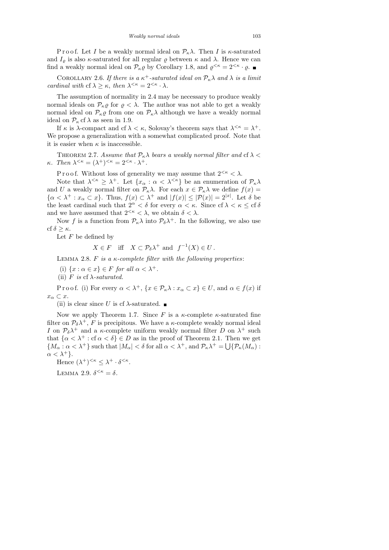P r o o f. Let I be a weakly normal ideal on  $\mathcal{P}_{\kappa}\lambda$ . Then I is  $\kappa$ -saturated and  $I_{\rho}$  is also  $\kappa$ -saturated for all regular  $\rho$  between  $\kappa$  and  $\lambda$ . Hence we can find a weakly normal ideal on  $\mathcal{P}_{\kappa}\varrho$  by Corollary 1.8, and  $\varrho^{<\kappa} = 2^{\lt;\kappa} \cdot \varrho$ .

COROLLARY 2.6. If there is a  $\kappa^+$ -saturated ideal on  $\mathcal{P}_\kappa \lambda$  and  $\lambda$  is a limit cardinal with cf  $\lambda \geq \kappa$ , then  $\lambda^{<\kappa} = 2^{<\kappa} \cdot \lambda$ .

The assumption of normality in 2.4 may be necessary to produce weakly normal ideals on  $\mathcal{P}_{\kappa}\varrho$  for  $\varrho < \lambda$ . The author was not able to get a weakly normal ideal on  $\mathcal{P}_{\kappa}\varrho$  from one on  $\mathcal{P}_{\kappa}\lambda$  although we have a weakly normal ideal on  $\mathcal{P}_{\kappa}$  cf  $\lambda$  as seen in 1.9.

If  $\kappa$  is  $\lambda$ -compact and cf  $\lambda < \kappa$ , Solovay's theorem says that  $\lambda^{<\kappa} = \lambda^+$ . We propose a generalization with a somewhat complicated proof. Note that it is easier when  $\kappa$  is inaccessible.

THEOREM 2.7. Assume that  $P_{\kappa} \lambda$  bears a weakly normal filter and cf  $\lambda$  <  $\kappa$ . Then  $\lambda^{<\kappa} = (\lambda^+)^{<\kappa} = 2^{<\kappa} \cdot \lambda^+$ .

P r o o f. Without loss of generality we may assume that  $2^{< \kappa} < \lambda$ .

Note that  $\lambda^{<\kappa} \geq \lambda^+$ . Let  $\{x_\alpha : \alpha < \lambda^{<\kappa}\}$  be an enumeration of  $\mathcal{P}_\kappa \lambda$ and U a weakly normal filter on  $\mathcal{P}_{\kappa}\lambda$ . For each  $x \in \mathcal{P}_{\kappa}\lambda$  we define  $f(x) =$  $\{\alpha < \lambda^+ : x_\alpha \subset x\}$ . Thus,  $f(x) \subset \lambda^+$  and  $|f(x)| \leq |\mathcal{P}(x)| = 2^{|x|}$ . Let  $\delta$  be the least cardinal such that  $2^{\alpha} < \delta$  for every  $\alpha < \kappa$ . Since cf  $\lambda < \kappa \leq$  cf  $\delta$ and we have assumed that  $2^{<\kappa} < \lambda$ , we obtain  $\delta < \lambda$ .

Now f is a function from  $\mathcal{P}_{\kappa}\lambda$  into  $\mathcal{P}_{\delta}\lambda^{+}$ . In the following, we also use cf  $\delta > \kappa$ .

Let  $F$  be defined by

$$
X \in F \quad \text{iff} \quad X \subset \mathcal{P}_{\delta} \lambda^+ \text{ and } \ f^{-1}(X) \in U \, .
$$

LEMMA 2.8. F is a  $\kappa$ -complete filter with the following properties:

(i)  $\{x : \alpha \in x\} \in F$  for all  $\alpha < \lambda^+$ .

(ii) F is cf  $\lambda$ -saturated.

P r o o f. (i) For every  $\alpha < \lambda^+$ ,  $\{x \in \mathcal{P}_\kappa \lambda : x_\alpha \subset x\} \in U$ , and  $\alpha \in f(x)$  if  $x_{\alpha} \subset x$ .

(ii) is clear since U is cf  $\lambda$ -saturated.

Now we apply Theorem 1.7. Since F is a  $\kappa$ -complete  $\kappa$ -saturated fine filter on  $\mathcal{P}_{\delta} \lambda^{+}$ , F is precipitous. We have a  $\kappa$ -complete weakly normal ideal I on  $\mathcal{P}_{\delta}\lambda^+$  and a  $\kappa$ -complete uniform weakly normal filter D on  $\lambda^+$  such that  $\{\alpha < \lambda^+ : \text{cf } \alpha < \delta\} \in D$  as in the proof of Theorem 2.1. Then we get  ${M_\alpha : \alpha < \lambda^+}$  such that  $|M_\alpha| < \delta$  for all  $\alpha < \lambda^+$ , and  $\mathcal{P}_\kappa \lambda^+ = \bigcup {\mathcal{P}_\kappa(M_\alpha) : \delta \lambda^+}$  $\alpha < \lambda^+$ .

Hence  $(\lambda^+)^{<\kappa} \leq \lambda^+ \cdot \delta^{<\kappa}$ .

LEMMA 2.9.  $\delta^{<\kappa} = \delta$ .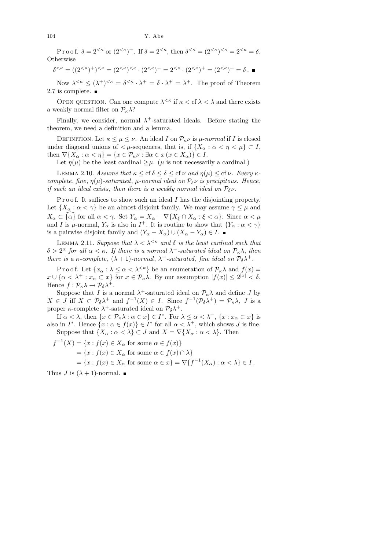Proof.  $\delta = 2^{<\kappa}$  or  $(2^{<\kappa})^+$ . If  $\delta = 2^{<\kappa}$ , then  $\delta^{<\kappa} = (2^{<\kappa})^{<\kappa} = 2^{<\kappa} = \delta$ . **Otherwise** 

$$
\delta^{<\kappa} = ((2^{\kappa})^+)^{<\kappa} = (2^{\kappa})^{\kappa} \cdot (2^{\kappa})^+ = 2^{\kappa} \cdot (2^{\kappa})^+ = (2^{\kappa})^+ = \delta \cdot \blacksquare
$$

Now  $\lambda^{<\kappa} \leq (\lambda^+)^{<\kappa} = \delta^{<\kappa} \cdot \lambda^+ = \delta \cdot \lambda^+ = \lambda^+$ . The proof of Theorem 2.7 is complete.

OPEN QUESTION. Can one compute  $\lambda^{\leq \kappa}$  if  $\kappa < \text{cf } \lambda < \lambda$  and there exists a weakly normal filter on  $\mathcal{P}_{\kappa}\lambda$ ?

Finally, we consider, normal  $\lambda^+$ -saturated ideals. Before stating the theorem, we need a definition and a lemma.

DEFINITION. Let  $\kappa \leq \mu \leq \nu$ . An ideal I on  $\mathcal{P}_{\kappa} \nu$  is  $\mu$ -normal if I is closed under diagonal unions of  $\lt \mu$ -sequences, that is, if  $\{X_\alpha : \alpha \lt \eta \lt \mu\} \subset I$ , then  $\nabla\{X_\alpha:\alpha<\eta\}=\{x\in\mathcal{P}_\kappa\nu:\exists\alpha\in x\,(x\in X_\alpha)\}\in I.$ 

Let  $\eta(\mu)$  be the least cardinal  $\geq \mu$ . ( $\mu$  is not necessarily a cardinal.)

LEMMA 2.10. Assume that  $\kappa \leq cf \delta \leq \delta \leq cf \nu$  and  $\eta(\mu) \leq cf \nu$ . Every  $\kappa$ complete, fine,  $\eta(\mu)$ -saturated,  $\mu$ -normal ideal on  $\mathcal{P}_{\delta} \nu$  is precipitous. Hence, if such an ideal exists, then there is a weakly normal ideal on  $P_{\delta} \nu$ .

P r o o f. It suffices to show such an ideal  $I$  has the disjointing property. Let  $\{X_\alpha : \alpha < \gamma\}$  be an almost disjoint family. We may assume  $\gamma \leq \mu$  and  $X_{\alpha} \subset {\alpha}$  for all  $\alpha < \gamma$ . Set  $Y_{\alpha} = X_{\alpha} - \nabla \{X_{\xi} \cap X_{\alpha} : \xi < \alpha\}$ . Since  $\alpha < \mu$ and I is  $\mu$ -normal,  $Y_{\alpha}$  is also in  $I^+$ . It is routine to show that  $\{Y_{\alpha} : \alpha < \gamma\}$ is a pairwise disjoint family and  $(Y_{\alpha}-X_{\alpha})\cup (X_{\alpha}-Y_{\alpha})\in I$ .

LEMMA 2.11. Suppose that  $\lambda < \lambda^{\leq \kappa}$  and  $\delta$  is the least cardinal such that  $\delta > 2^{\alpha}$  for all  $\alpha < \kappa$ . If there is a normal  $\lambda^+$ -saturated ideal on  $\mathcal{P}_\kappa \lambda$ , then there is a  $\kappa$ -complete,  $(\lambda + 1)$ -normal,  $\lambda^+$ -saturated, fine ideal on  $\mathcal{P}_{\delta}\lambda^+$ .

P r o o f. Let  $\{x_{\alpha} : \lambda \leq \alpha < \lambda^{<\kappa}\}\)$  be an enumeration of  $\mathcal{P}_{\kappa}\lambda$  and  $f(x) =$  $x \cup \{\alpha < \lambda^+ : x_\alpha \subset x\}$  for  $x \in \mathcal{P}_\kappa \lambda$ . By our assumption  $|f(x)| \leq 2^{|x|} < \delta$ . Hence  $f: \mathcal{P}_{\kappa} \lambda \to \mathcal{P}_{\delta} \lambda^{+}$ .

Suppose that I is a normal  $\lambda^+$ -saturated ideal on  $\mathcal{P}_{\kappa}\lambda$  and define J by  $X \in J$  iff  $X \subset \mathcal{P}_{\delta} \lambda^+$  and  $f^{-1}(X) \in I$ . Since  $f^{-1}(\mathcal{P}_{\delta} \lambda^+) = \mathcal{P}_{\kappa} \lambda$ , J is a proper  $\kappa$ -complete  $\lambda^+$ -saturated ideal on  $\mathcal{P}_{\delta}\lambda^+$ .

If  $\alpha < \lambda$ , then  $\{x \in \mathcal{P}_{\kappa}\lambda : \alpha \in x\} \in I^*$ . For  $\lambda \leq \alpha < \lambda^+$ ,  $\{x : x_{\alpha} \subset x\}$  is also in  $I^*$ . Hence  $\{x : \alpha \in f(x)\} \in I^*$  for all  $\alpha < \lambda^+$ , which shows J is fine. Suppose that  $\{X_\alpha : \alpha < \lambda\} \subset J$  and  $X = \nabla \{X_\alpha : \alpha < \lambda\}$ . Then

 $f^{-1}(X) = \{x : f(x) \in X_\alpha \text{ for some } \alpha \in f(x)\}\$  $=\{x: f(x)\in X_\alpha \text{ for some } \alpha\in f(x)\cap \lambda\}$  $=\{x: f(x)\in X_\alpha \text{ for some } \alpha\in x\}=\nabla\{f^{-1}(X_\alpha): \alpha<\lambda\}\in I.$ 

Thus J is  $(\lambda + 1)$ -normal.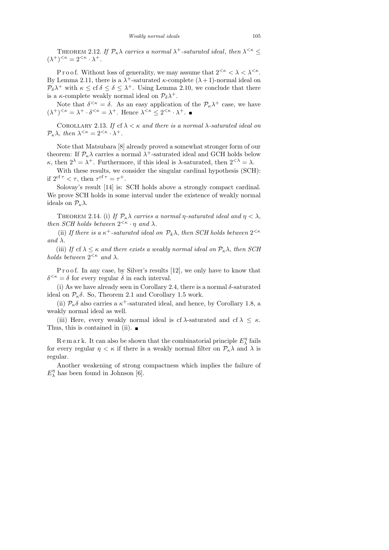THEOREM 2.12. If  $\mathcal{P}_{\kappa}\lambda$  carries a normal  $\lambda^+$ -saturated ideal, then  $\lambda^{\leq \kappa} \leq$  $(\lambda^+)^{<\kappa} = 2^{<\kappa} \cdot \lambda^+.$ 

P r o o f. Without loss of generality, we may assume that  $2^{< \kappa} < \lambda < \lambda^{< \kappa}$ . By Lemma 2.11, there is a  $\lambda^+$ -saturated  $\kappa$ -complete  $(\lambda + 1)$ -normal ideal on  $\mathcal{P}_{\delta}\lambda^+$  with  $\kappa \leq \text{cf } \delta \leq \lambda^+$ . Using Lemma 2.10, we conclude that there is a  $\kappa$ -complete weakly normal ideal on  $\mathcal{P}_{\delta}\lambda^{+}$ .

Note that  $\delta^{<\kappa} = \delta$ . As an easy application of the  $\mathcal{P}_\kappa \lambda^+$  case, we have  $(\lambda^+)^{<\kappa} = \lambda^+ \cdot \delta^{<\kappa} = \lambda^+$ . Hence  $\lambda^{<\kappa} \leq 2^{<\kappa} \cdot \lambda^+$ .

COROLLARY 2.13. If cf  $\lambda < \kappa$  and there is a normal  $\lambda$ -saturated ideal on  $\mathcal{P}_{\kappa}\lambda$ , then  $\lambda^{\leq \kappa} = 2^{\leq \kappa} \cdot \lambda^+$ .

Note that Matsubara [8] already proved a somewhat stronger form of our theorem: If  $\mathcal{P}_{\kappa}\lambda$  carries a normal  $\lambda^+$ -saturated ideal and GCH holds below κ, then  $2^{\lambda} = \lambda^+$ . Furthermore, if this ideal is  $\lambda$ -saturated, then  $2^{<\lambda} = \lambda$ .

With these results, we consider the singular cardinal hypothesis (SCH): if  $2^{\text{cf } \tau} < \tau$ , then  $\tau^{\text{cf } \tau} = \tau^+$ .

Solovay's result [14] is: SCH holds above a strongly compact cardinal. We prove SCH holds in some interval under the existence of weakly normal ideals on  $\mathcal{P}_{\kappa}\lambda$ .

THEOREM 2.14. (i) If  $\mathcal{P}_{\kappa}\lambda$  carries a normal *η*-saturated ideal and  $\eta < \lambda$ , then SCH holds between  $2^{<\kappa} \cdot \eta$  and  $\lambda$ .

(ii) If there is a  $\kappa^+$ -saturated ideal on  $\mathcal{P}_k \lambda$ , then SCH holds between  $2^{<\kappa}$ and  $\lambda$ .

(iii) If cf  $\lambda \leq \kappa$  and there exists a weakly normal ideal on  $\mathcal{P}_{\kappa}\lambda$ , then SCH holds between  $2^{<\kappa}$  and  $\lambda$ .

P r o o f. In any case, by Silver's results [12], we only have to know that  $\delta^{<\kappa} = \delta$  for every regular  $\delta$  in each interval.

(i) As we have already seen in Corollary 2.4, there is a normal  $\delta$ -saturated ideal on  $\mathcal{P}_{\kappa}\delta$ . So, Theorem 2.1 and Corollary 1.5 work.

(ii)  $\mathcal{P}_{\kappa}\delta$  also carries a  $\kappa^+$ -saturated ideal, and hence, by Corollary 1.8, a weakly normal ideal as well.

(iii) Here, every weakly normal ideal is cf  $\lambda$ -saturated and cf  $\lambda \leq \kappa$ . Thus, this is contained in (ii).  $\blacksquare$ 

Remark. It can also be shown that the combinatorial principle  $E_{\lambda}^{\eta}$  $\frac{1}{\lambda}$  fails for every regular  $\eta < \kappa$  if there is a weakly normal filter on  $\mathcal{P}_{\kappa}\lambda$  and  $\lambda$  is regular.

Another weakening of strong compactness which implies the failure of  $E^{\eta}_{\lambda}$  $\frac{n}{\lambda}$  has been found in Johnson [6].